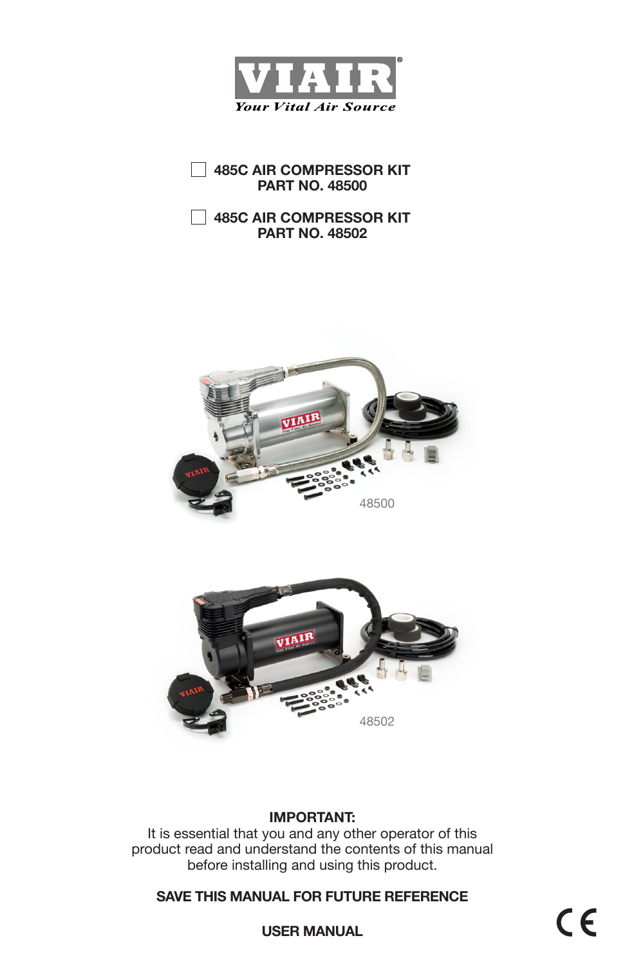

**485C AIR COMPRESSOR KIT PART NO. 48500**

**485C AIR COMPRESSOR KIT PART NO. 48502** 





#### **IMPORTANT:**

It is essential that you and any other operator of this product read and understand the contents of this manual before installing and using this product.

**SAVE THIS MANUAL FOR FUTURE REFERENCE**

 $\epsilon$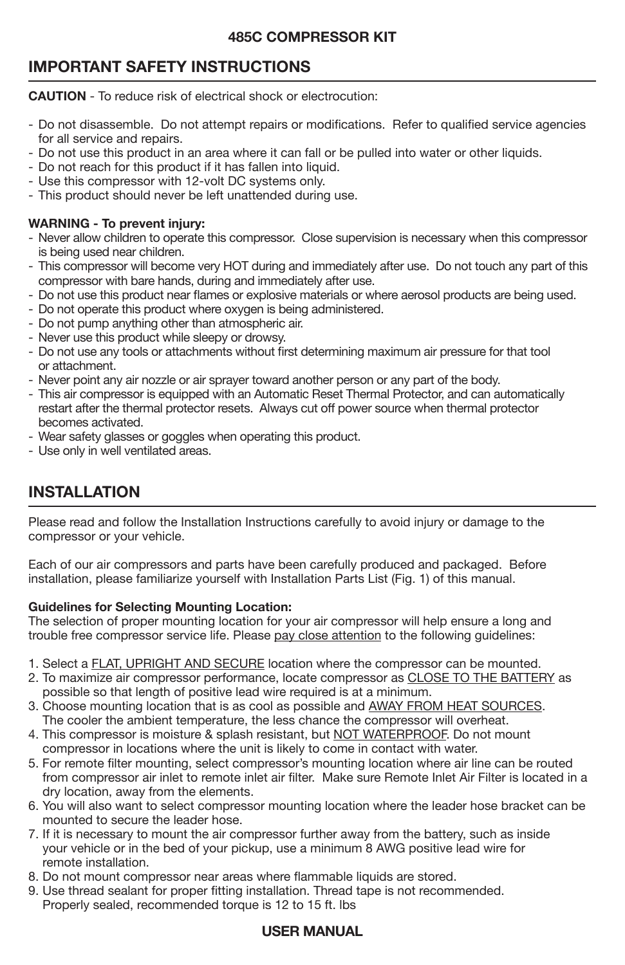# **IMPORTANT SAFETY INSTRUCTIONS**

**CAUTION** - To reduce risk of electrical shock or electrocution:

- Do not disassemble. Do not attempt repairs or modifications. Refer to qualified service agencies for all service and repairs.
- Do not use this product in an area where it can fall or be pulled into water or other liquids.
- Do not reach for this product if it has fallen into liquid.
- Use this compressor with 12-volt DC systems only.
- This product should never be left unattended during use.

#### **WARNING - To prevent injury:**

- Never allow children to operate this compressor. Close supervision is necessary when this compressor is being used near children.
- This compressor will become very HOT during and immediately after use. Do not touch any part of this compressor with bare hands, during and immediately after use.
- Do not use this product near flames or explosive materials or where aerosol products are being used.
- Do not operate this product where oxygen is being administered.
- Do not pump anything other than atmospheric air.
- Never use this product while sleepy or drowsy.
- Do not use any tools or attachments without first determining maximum air pressure for that tool or attachment.
- Never point any air nozzle or air sprayer toward another person or any part of the body.
- This air compressor is equipped with an Automatic Reset Thermal Protector, and can automatically restart after the thermal protector resets. Always cut off power source when thermal protector becomes activated.
- Wear safety glasses or goggles when operating this product.
- Use only in well ventilated areas.

# **INSTALLATION**

Please read and follow the Installation Instructions carefully to avoid injury or damage to the compressor or your vehicle.

Each of our air compressors and parts have been carefully produced and packaged. Before installation, please familiarize yourself with Installation Parts List (Fig. 1) of this manual.

#### **Guidelines for Selecting Mounting Location:**

The selection of proper mounting location for your air compressor will help ensure a long and trouble free compressor service life. Please pay close attention to the following guidelines:

- 1. Select a FLAT, UPRIGHT AND SECURE location where the compressor can be mounted.
- 2. To maximize air compressor performance, locate compressor as CLOSE TO THE BATTERY as possible so that length of positive lead wire required is at a minimum.
- 3. Choose mounting location that is as cool as possible and AWAY FROM HEAT SOURCES. The cooler the ambient temperature, the less chance the compressor will overheat.
- 4. This compressor is moisture & splash resistant, but NOT WATERPROOF. Do not mount compressor in locations where the unit is likely to come in contact with water.
- 5. For remote filter mounting, select compressor's mounting location where air line can be routed from compressor air inlet to remote inlet air filter. Make sure Remote Inlet Air Filter is located in a dry location, away from the elements.
- 6. You will also want to select compressor mounting location where the leader hose bracket can be mounted to secure the leader hose.
- 7. If it is necessary to mount the air compressor further away from the battery, such as inside your vehicle or in the bed of your pickup, use a minimum 8 AWG positive lead wire for remote installation.
- 8. Do not mount compressor near areas where flammable liquids are stored.
- 9. Use thread sealant for proper fitting installation. Thread tape is not recommended. Properly sealed, recommended torque is 12 to 15 ft. lbs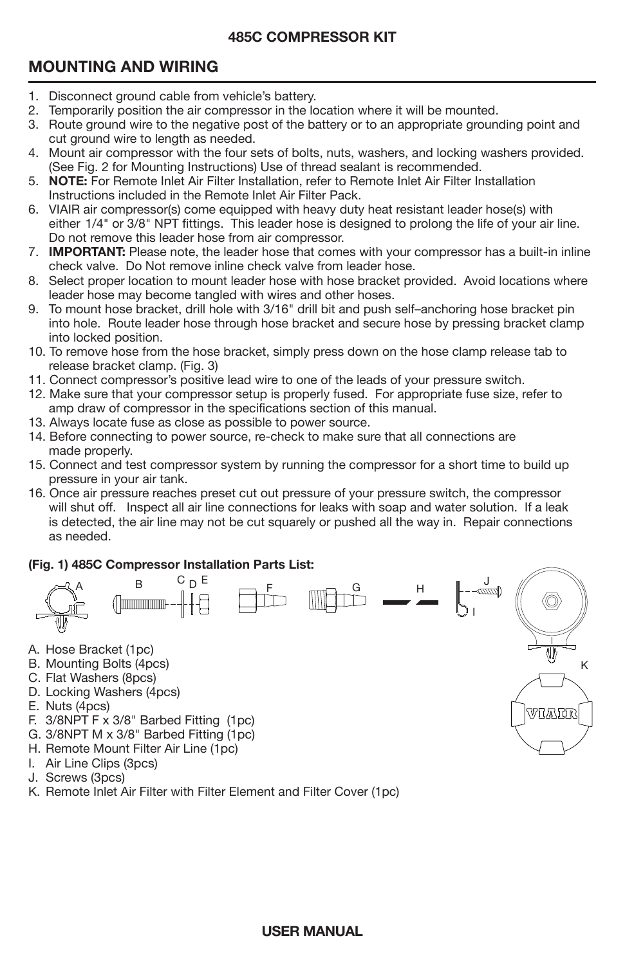# **MOUNTING AND WIRING**

- 1. Disconnect ground cable from vehicle's battery.
- 2. Temporarily position the air compressor in the location where it will be mounted.
- 3. Route ground wire to the negative post of the battery or to an appropriate grounding point and cut ground wire to length as needed.
- 4. Mount air compressor with the four sets of bolts, nuts, washers, and locking washers provided. (See Fig. 2 for Mounting Instructions) Use of thread sealant is recommended.
- 5. **NOTE:** For Remote Inlet Air Filter Installation, refer to Remote Inlet Air Filter Installation Instructions included in the Remote Inlet Air Filter Pack.
- 6. VIAIR air compressor(s) come equipped with heavy duty heat resistant leader hose(s) with either 1/4" or 3/8" NPT fittings. This leader hose is designed to prolong the life of your air line. Do not remove this leader hose from air compressor.
- 7. **IMPORTANT:** Please note, the leader hose that comes with your compressor has a built-in inline check valve. Do Not remove inline check valve from leader hose.
- 8. Select proper location to mount leader hose with hose bracket provided. Avoid locations where leader hose may become tangled with wires and other hoses.
- 9. To mount hose bracket, drill hole with 3/16" drill bit and push self–anchoring hose bracket pin into hole. Route leader hose through hose bracket and secure hose by pressing bracket clamp into locked position.
- 10. To remove hose from the hose bracket, simply press down on the hose clamp release tab to release bracket clamp. (Fig. 3)
- 11. Connect compressor's positive lead wire to one of the leads of your pressure switch.
- 12. Make sure that your compressor setup is properly fused. For appropriate fuse size, refer to amp draw of compressor in the specifications section of this manual.
- 13. Always locate fuse as close as possible to power source.
- 14. Before connecting to power source, re-check to make sure that all connections are made properly.
- 15. Connect and test compressor system by running the compressor for a short time to build up pressure in your air tank.
- 16. Once air pressure reaches preset cut out pressure of your pressure switch, the compressor will shut off. Inspect all air line connections for leaks with soap and water solution. If a leak is detected, the air line may not be cut squarely or pushed all the way in. Repair connections as needed.

# **(Fig. 1) 485C Compressor Installation Parts List:**



VRATOR

- D. Locking Washers (4pcs)
- E. Nuts (4pcs)
- 
- F. 3/8NPT F x 3/8" Barbed Fitting (1pc)
- G. 3/8NPT M x 3/8" Barbed Fitting (1pc)
- H. Remote Mount Filter Air Line (1pc)
- I. Air Line Clips (3pcs)
- J. Screws (3pcs)
- K. Remote Inlet Air Filter with Filter Element and Filter Cover (1pc)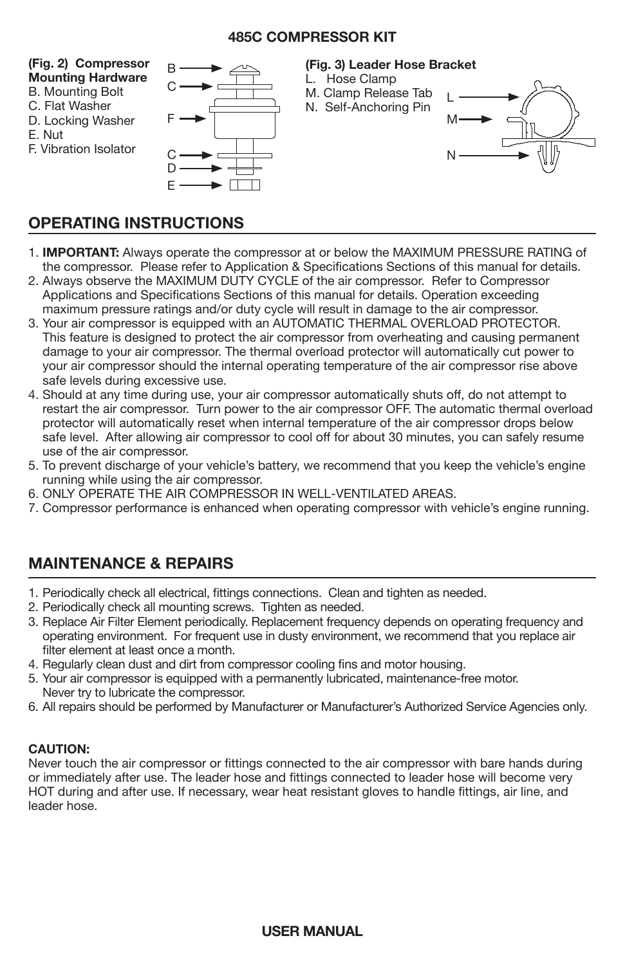#### B C C D  $F -$ F **(Fig. 2) Compressor Mounting Hardware** B. Mounting Bolt C. Flat Washer D. Locking Washer F. Vibration Isolator **(Fig. 3) Leader Hose Bracket** L. Hose Clamp M. Clamp Release Tab N. Self-Anchoring Pin L M N

# **OPERATING INSTRUCTIONS**

E. Nut

- 1. **IMPORTANT:** Always operate the compressor at or below the MAXIMUM PRESSURE RATING of the compressor. Please refer to Application & Specifications Sections of this manual for details.
- 2. Always observe the MAXIMUM DUTY CYCLE of the air compressor. Refer to Compressor Applications and Specifications Sections of this manual for details. Operation exceeding maximum pressure ratings and/or duty cycle will result in damage to the air compressor.
- 3. Your air compressor is equipped with an AUTOMATIC THERMAL OVERLOAD PROTECTOR. This feature is designed to protect the air compressor from overheating and causing permanent damage to your air compressor. The thermal overload protector will automatically cut power to your air compressor should the internal operating temperature of the air compressor rise above safe levels during excessive use.
- 4. Should at any time during use, your air compressor automatically shuts off, do not attempt to restart the air compressor. Turn power to the air compressor OFF. The automatic thermal overload protector will automatically reset when internal temperature of the air compressor drops below safe level. After allowing air compressor to cool off for about 30 minutes, you can safely resume use of the air compressor.
- 5. To prevent discharge of your vehicle's battery, we recommend that you keep the vehicle's engine running while using the air compressor.
- 6. ONLY OPERATE THE AIR COMPRESSOR IN WELL-VENTILATED AREAS.
- 7. Compressor performance is enhanced when operating compressor with vehicle's engine running.

# **MAINTENANCE & REPAIRS**

- 1. Periodically check all electrical, fittings connections. Clean and tighten as needed.
- 2. Periodically check all mounting screws. Tighten as needed.
- 3. Replace Air Filter Element periodically. Replacement frequency depends on operating frequency and operating environment. For frequent use in dusty environment, we recommend that you replace air filter element at least once a month.
- 4. Regularly clean dust and dirt from compressor cooling fins and motor housing.
- 5. Your air compressor is equipped with a permanently lubricated, maintenance-free motor. Never try to lubricate the compressor.
- 6. All repairs should be performed by Manufacturer or Manufacturer's Authorized Service Agencies only.

#### **CAUTION:**

Never touch the air compressor or fittings connected to the air compressor with bare hands during or immediately after use. The leader hose and fittings connected to leader hose will become very HOT during and after use. If necessary, wear heat resistant gloves to handle fittings, air line, and leader hose.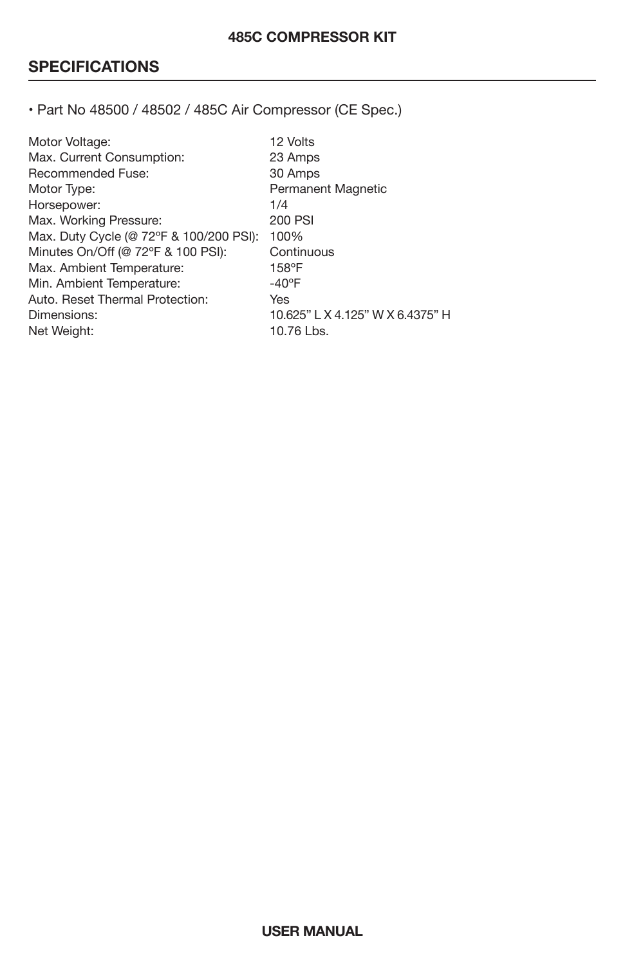# **SPECIFICATIONS**

• Part No 48500 / 48502 / 485C Air Compressor (CE Spec.)

| 12 Volts                                |
|-----------------------------------------|
| 23 Amps                                 |
| 30 Amps                                 |
| Permanent Magnetic                      |
| 1/4                                     |
| 200 PSI                                 |
| 100%                                    |
| Continuous                              |
| 158°F                                   |
| $-40^{\circ}$ F                         |
| Yes                                     |
| 10.625" L X 4.125" W X 6.4375" H        |
| 10.76 Lbs.                              |
| Max. Duty Cycle (@ 72°F & 100/200 PSI): |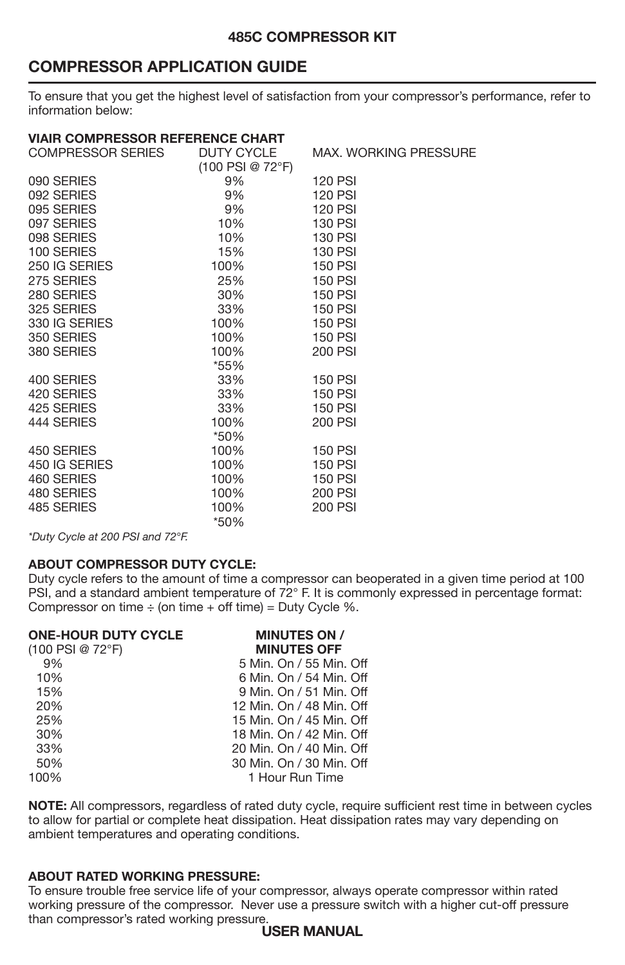# **COMPRESSOR APPLICATION GUIDE**

To ensure that you get the highest level of satisfaction from your compressor's performance, refer to information below:

#### **VIAIR COMPRESSOR REFERENCE CHART**

| COMPRESSOR SERIES | DUTY CYCLE         | <b>MAX. WORKING PRESSURE</b> |
|-------------------|--------------------|------------------------------|
|                   | $(100$ PSI @ 72°F) |                              |
| 090 SERIES        | 9%                 | <b>120 PSI</b>               |
| 092 SERIES        | 9%                 | <b>120 PSI</b>               |
| 095 SERIES        | 9%                 | <b>120 PSI</b>               |
| 097 SERIES        | 10%                | <b>130 PSI</b>               |
| 098 SERIES        | 10%                | <b>130 PSI</b>               |
| 100 SERIES        | 15%                | <b>130 PSI</b>               |
| 250 IG SERIES     | 100%               | <b>150 PSI</b>               |
| 275 SERIES        | 25%                | <b>150 PSI</b>               |
| 280 SERIES        | 30%                | <b>150 PSI</b>               |
| 325 SERIES        | 33%                | <b>150 PSI</b>               |
| 330 IG SERIES     | 100%               | <b>150 PSI</b>               |
| 350 SERIES        | 100%               | <b>150 PSI</b>               |
| 380 SERIES        | 100%               | 200 PSI                      |
|                   | *55%               |                              |
| 400 SERIES        | 33%                | <b>150 PSI</b>               |
| 420 SERIES        | 33%                | <b>150 PSI</b>               |
| 425 SERIES        | 33%                | <b>150 PSI</b>               |
| 444 SERIES        | 100%               | 200 PSI                      |
|                   | *50%               |                              |
| 450 SERIES        | 100%               | <b>150 PSI</b>               |
| 450 IG SERIES     | 100%               | <b>150 PSI</b>               |
| 460 SERIES        | 100%               | <b>150 PSI</b>               |
| 480 SERIES        | 100%               | <b>200 PSI</b>               |
| 485 SERIES        | 100%               | 200 PSI                      |
|                   | *50%               |                              |
|                   |                    |                              |

*\*Duty Cycle at 200 PSI and 72°F.*

#### **ABOUT COMPRESSOR DUTY CYCLE:**

Duty cycle refers to the amount of time a compressor can be
operated in a given time period at 100 PSI, and a standard ambient temperature of 72° F. It is commonly expressed in percentage format: Compressor on time  $\div$  (on time  $+$  off time) = Duty Cycle %.

| <b>ONE-HOUR DUTY CYCLE</b> | <b>MINUTES ON /</b>      |
|----------------------------|--------------------------|
| $(100$ PSI @ 72°F)         | <b>MINUTES OFF</b>       |
| 9%                         | 5 Min. On / 55 Min. Off  |
| 10%                        | 6 Min. On / 54 Min. Off  |
| 15%                        | 9 Min. On / 51 Min. Off  |
| 20%                        | 12 Min. On / 48 Min. Off |
| 25%                        | 15 Min. On / 45 Min. Off |
| 30%                        | 18 Min. On / 42 Min. Off |
| 33%                        | 20 Min. On / 40 Min. Off |
| 50%                        | 30 Min. On / 30 Min. Off |
| 100%                       | 1 Hour Run Time          |
|                            |                          |

**NOTE:** All compressors, regardless of rated duty cycle, require sufficient rest time in between cycles to allow for partial or complete heat dissipation. Heat dissipation rates may vary depending on ambient temperatures and operating conditions.

#### **ABOUT RATED WORKING PRESSURE:**

To ensure trouble free service life of your compressor, always operate compressor within rated working pressure of the compressor. Never use a pressure switch with a higher cut-off pressure than compressor's rated working pressure.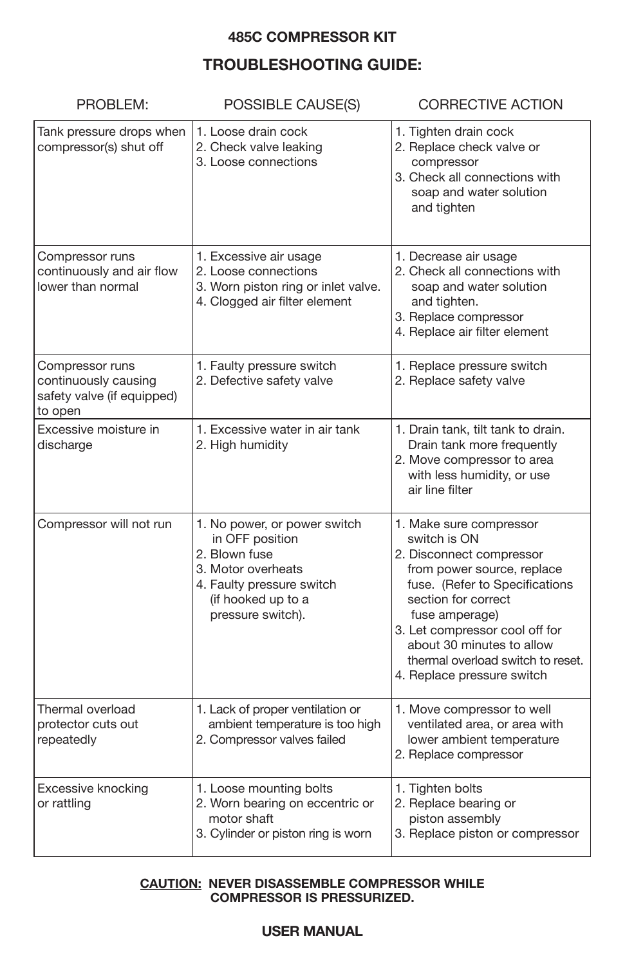# **TROUBLESHOOTING GUIDE:**

| PROBLEM:                                                                         | POSSIBLE CAUSE(S)                                                                                                                                              | <b>CORRECTIVE ACTION</b>                                                                                                                                                                                                                                                                                       |
|----------------------------------------------------------------------------------|----------------------------------------------------------------------------------------------------------------------------------------------------------------|----------------------------------------------------------------------------------------------------------------------------------------------------------------------------------------------------------------------------------------------------------------------------------------------------------------|
| Tank pressure drops when<br>compressor(s) shut off                               | 1. Loose drain cock<br>2. Check valve leaking<br>3. Loose connections                                                                                          | 1. Tighten drain cock<br>2. Replace check valve or<br>compressor<br>3. Check all connections with<br>soap and water solution<br>and tighten                                                                                                                                                                    |
| Compressor runs<br>continuously and air flow<br>lower than normal                | 1. Excessive air usage<br>2. Loose connections<br>3. Worn piston ring or inlet valve.<br>4. Clogged air filter element                                         | 1. Decrease air usage<br>2. Check all connections with<br>soap and water solution<br>and tighten.<br>3. Replace compressor<br>4. Replace air filter element                                                                                                                                                    |
| Compressor runs<br>continuously causing<br>safety valve (if equipped)<br>to open | 1. Faulty pressure switch<br>2. Defective safety valve                                                                                                         | 1. Replace pressure switch<br>2. Replace safety valve                                                                                                                                                                                                                                                          |
| Excessive moisture in<br>discharge                                               | 1. Excessive water in air tank<br>2. High humidity                                                                                                             | 1. Drain tank, tilt tank to drain.<br>Drain tank more frequently<br>2. Move compressor to area<br>with less humidity, or use<br>air line filter                                                                                                                                                                |
| Compressor will not run                                                          | 1. No power, or power switch<br>in OFF position<br>2. Blown fuse<br>3. Motor overheats<br>4. Faulty pressure switch<br>(if hooked up to a<br>pressure switch). | 1. Make sure compressor<br>switch is ON<br>2. Disconnect compressor<br>from power source, replace<br>fuse. (Refer to Specifications<br>section for correct<br>fuse amperage)<br>3. Let compressor cool off for<br>about 30 minutes to allow<br>thermal overload switch to reset.<br>4. Replace pressure switch |
| Thermal overload<br>protector cuts out<br>repeatedly                             | 1. Lack of proper ventilation or<br>ambient temperature is too high<br>2. Compressor valves failed                                                             | 1. Move compressor to well<br>ventilated area, or area with<br>lower ambient temperature<br>2. Replace compressor                                                                                                                                                                                              |
| Excessive knocking<br>or rattling                                                | 1. Loose mounting bolts<br>2. Worn bearing on eccentric or<br>motor shaft<br>3. Cylinder or piston ring is worn                                                | 1. Tighten bolts<br>2. Replace bearing or<br>piston assembly<br>3. Replace piston or compressor                                                                                                                                                                                                                |

#### **CAUTION: NEVER DISASSEMBLE COMPRESSOR WHILE COMPRESSOR IS PRESSURIZED.**